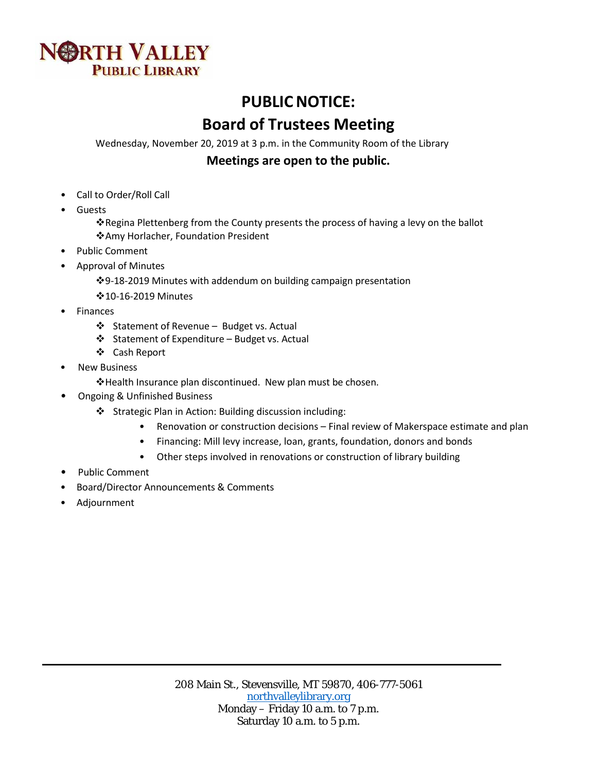

# **PUBLIC NOTICE:**

# **Board of Trustees Meeting**

Wednesday, November 20, 2019 at 3 p.m. in the Community Room of the Library

# **Meetings are open to the public.**

- Call to Order/Roll Call
- **Guests** 
	- Regina Plettenberg from the County presents the process of having a levy on the ballot Amy Horlacher, Foundation President
- Public Comment
- Approval of Minutes
	- 9-18-2019 Minutes with addendum on building campaign presentation
	- 10-16-2019 Minutes
- **Finances** 
	- Statement of Revenue Budget vs. Actual
	- Statement of Expenditure Budget vs. Actual
	- Cash Report
- **New Business** 
	- Health Insurance plan discontinued. New plan must be chosen.
- Ongoing & Unfinished Business
	- Strategic Plan in Action: Building discussion including:
		- Renovation or construction decisions Final review of Makerspace estimate and plan
		- Financing: Mill levy increase, loan, grants, foundation, donors and bonds
		- Other steps involved in renovations or construction of library building
- Public Comment
- Board/Director Announcements & Comments
- Adjournment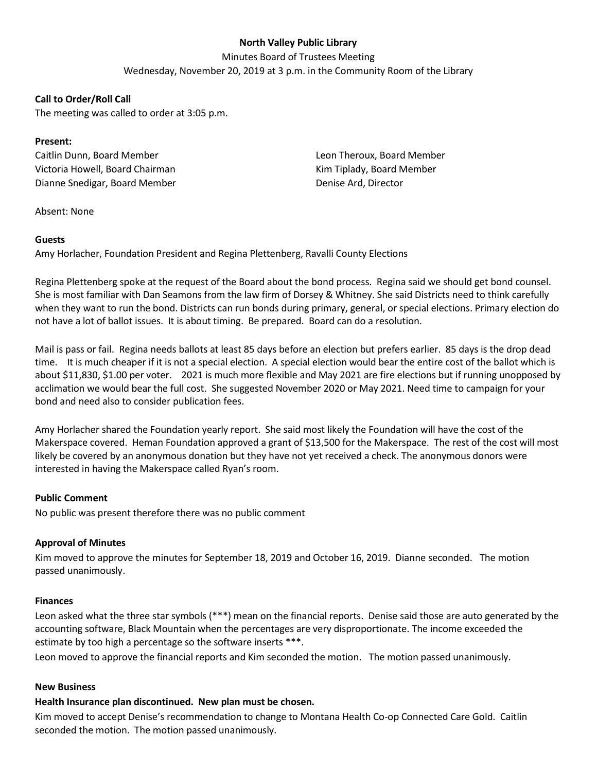### **North Valley Public Library**

Minutes Board of Trustees Meeting

Wednesday, November 20, 2019 at 3 p.m. in the Community Room of the Library

#### **Call to Order/Roll Call**

The meeting was called to order at 3:05 p.m.

#### **Present:**

Caitlin Dunn, Board Member Victoria Howell, Board Chairman Dianne Snedigar, Board Member Leon Theroux, Board Member Kim Tiplady, Board Member Denise Ard, Director

Absent: None

#### **Guests**

Amy Horlacher, Foundation President and Regina Plettenberg, Ravalli County Elections

Regina Plettenberg spoke at the request of the Board about the bond process. Regina said we should get bond counsel. She is most familiar with Dan Seamons from the law firm of Dorsey & Whitney. She said Districts need to think carefully when they want to run the bond. Districts can run bonds during primary, general, or special elections. Primary election do not have a lot of ballot issues. It is about timing. Be prepared. Board can do a resolution.

Mail is pass or fail. Regina needs ballots at least 85 days before an election but prefers earlier. 85 days is the drop dead time. It is much cheaper if it is not a special election. A special election would bear the entire cost of the ballot which is about \$11,830, \$1.00 per voter. 2021 is much more flexible and May 2021 are fire elections but if running unopposed by acclimation we would bear the full cost. She suggested November 2020 or May 2021. Need time to campaign for your bond and need also to consider publication fees.

Amy Horlacher shared the Foundation yearly report. She said most likely the Foundation will have the cost of the Makerspace covered. Heman Foundation approved a grant of \$13,500 for the Makerspace. The rest of the cost will most likely be covered by an anonymous donation but they have not yet received a check. The anonymous donors were interested in having the Makerspace called Ryan's room.

#### **Public Comment**

No public was present therefore there was no public comment

#### **Approval of Minutes**

Kim moved to approve the minutes for September 18, 2019 and October 16, 2019. Dianne seconded. The motion passed unanimously.

#### **Finances**

Leon asked what the three star symbols (\*\*\*) mean on the financial reports. Denise said those are auto generated by the accounting software, Black Mountain when the percentages are very disproportionate. The income exceeded the estimate by too high a percentage so the software inserts \*\*\*.

Leon moved to approve the financial reports and Kim seconded the motion. The motion passed unanimously.

#### **New Business**

#### **Health Insurance plan discontinued. New plan must be chosen.**

Kim moved to accept Denise's recommendation to change to Montana Health Co-op Connected Care Gold. Caitlin seconded the motion. The motion passed unanimously.